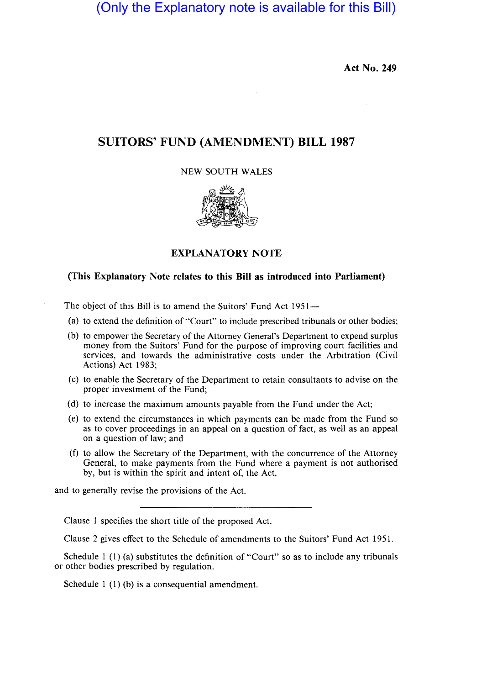(Only the Explanatory note is available for this Bill)

Act No. 249

# SUITORS' FUND (AMENDMENT) **BILL 1987**

## NEW SOUTH WALES



## EXPLANATORY NOTE

#### (This Explanatory Note relates to this **Bill** as introduced into Parliament)

The object of this Bill is to amend the Suitors' Fund Act 1951-

- (a) to extend the definition of "Court" to include prescribed tribunals or other bodies;
- (b) to empower the Secretary of the Attorney General's Department to expend surplus money from the Suitors' Fund for the purpose of improving court facilities and services, and towards the administrative costs under the Arbitration (Civil Actions) Act 1983;
- (c) to enable the Secretary of the Department to retain consultants to advise on the proper investment of the Fund;
- (d) to increase the maximum amounts payable from the Fund under the Act;
- (e) to extend the circumstances in which payments can be made from the Fund so as to cover proceedings in an appeal on a question of fact, as well as an appeal on a question of law; and
- (t) to allow the Secretary of the Department, with the concurrence of the Attorney General, to make payments from the Fund where a payment is not authorised by, but is within the spirit and intent of, the Act,

and to generally revise the provisions of the Act.

Clause 1 specifies the short title of the proposed Act.

Clause 2 gives effect to the Schedule of amendments to the Suitors' Fund Act 1951.

Schedule 1 (1) (a) substitutes the definition of "Court" so as to include any tribunals or other bodies prescribed by regulation.

Schedule 1 (1) (b) is a consequential amendment.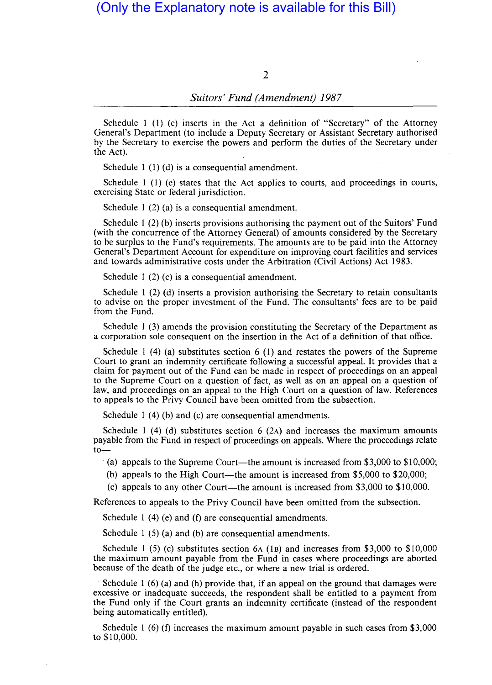2

## *Suitors' Fund (Amendment) 1987*

Schedule 1 (1) (c) inserts in the Act a definition of "Secretary" of the Attorney General's Department (to include a Deputy Secretary or Assistant Secretary authorised by the Secretary to exercise the powers and perform the duties of the Secretary under the Act).

Schedule 1 (1) (d) is a consequential amendment.

Schedule 1 (1) (e) states that the Act applies to courts, and proceedings in courts, exercising State or federal jurisdiction.

Schedule 1 (2) (a) is a consequential amendment.

Schedule 1 (2) (b) inserts provisions authorising the payment out of the Suitors' Fund (with the concurrence of the Attorney General) of amounts considered by the Secretary to be surplus to the Fund's requirements. The amounts are to be paid into the Attorney General's Department Account for expenditure on improving court facilities and services and towards administrative costs under the Arbitration (Civil Actions) Act 1983.

Schedule 1 (2) (c) is a consequential amendment.

Schedule 1 (2) (d) inserts a provision authorising the Secretary to retain consultants to advise on the proper investment of the Fund. The consultants' fees are to be paid from the Fund.

Schedule 1 (3) amends the provision constituting the Secretary of the Department as a corporation sole consequent on the insertion in the Act of a definition of that office.

Schedule 1 (4) (a) substitutes section 6 (1) and restates the powers of the Supreme Court to grant an indemnity certificate following a successful appeal. It provides that a claim for payment out of the Fund can be made in respect of proceedings on an appeal to the Supreme Court on a question of fact, as well as on an appeal on a question of law, and proceedings on an appeal to the High Court on a question of law. References to appeals to the Privy Council have been omitted from the subsection.

Schedule 1 (4) (b) and (c) are consequential amendments.

Schedule 1 (4) (d) substitutes section 6 (2A) and increases the maximum amounts payable from the Fund in respect of proceedings on appeals. Where the proceedings relate  $to-$ 

(a) appeals to the Supreme Court—the amount is increased from  $$3,000$  to  $$10,000$ ;

(b) appeals to the High Court—the amount is increased from  $$5,000$  to  $$20,000$ ;

(c) appeals to any other Court—the amount is increased from  $$3,000$  to  $$10,000$ .

References to appeals to the Privy Council have been omitted from the subsection.

Schedule 1 (4) (e) and (f) are consequential amendments.

Schedule 1 (5) (a) and (b) are consequential amendments.

Schedule 1 (5) (c) substitutes section 6A (IB) and increases from \$3,000 to \$10,000 the maximum amount payable from the Fund in cases where proceedings are aborted because of the death of the judge etc., or where a new trial is ordered.

Schedule 1 (6) (a) and (h) provide that, if an appeal on the ground that damages were excessive or inadequate succeeds, the respondent shall be entitled to a payment from the Fund only if the Court grants an indemnity certificate (instead of the respondent being automatically entitled).

Schedule I (6) (f) increases the maximum amount payable in such cases from \$3,000 to \$10,000.